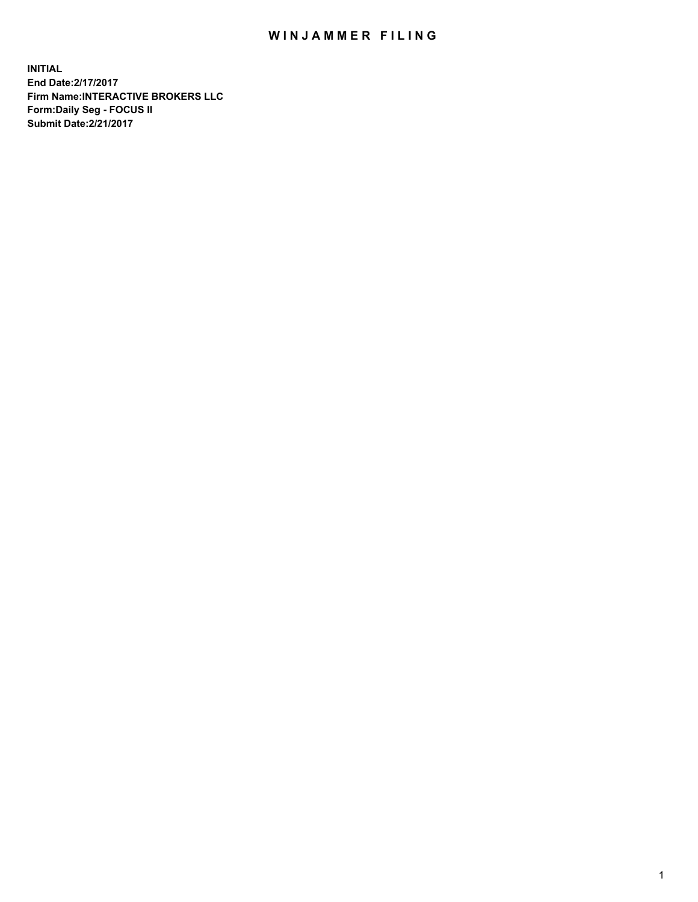## WIN JAMMER FILING

**INITIAL End Date:2/17/2017 Firm Name:INTERACTIVE BROKERS LLC Form:Daily Seg - FOCUS II Submit Date:2/21/2017**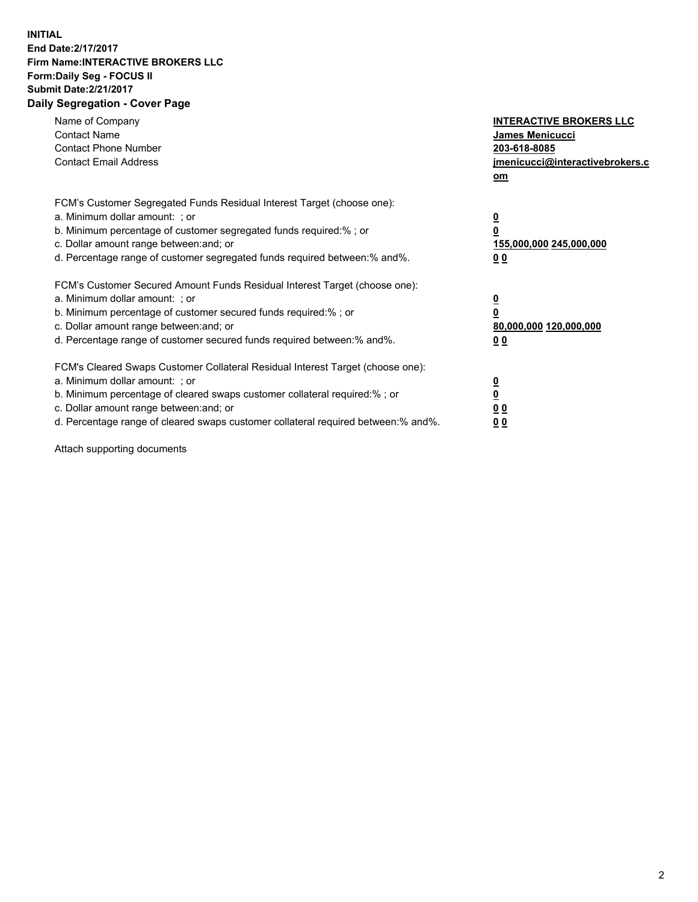## **INITIAL End Date:2/17/2017 Firm Name:INTERACTIVE BROKERS LLC Form:Daily Seg - FOCUS II Submit Date:2/21/2017 Daily Segregation - Cover Page**

| Name of Company<br><b>Contact Name</b><br><b>Contact Phone Number</b><br><b>Contact Email Address</b>                                                                                                                                                                                                                          | <b>INTERACTIVE BROKERS LLC</b><br>James Menicucci<br>203-618-8085<br>jmenicucci@interactivebrokers.c<br>om |
|--------------------------------------------------------------------------------------------------------------------------------------------------------------------------------------------------------------------------------------------------------------------------------------------------------------------------------|------------------------------------------------------------------------------------------------------------|
| FCM's Customer Segregated Funds Residual Interest Target (choose one):<br>a. Minimum dollar amount: ; or<br>b. Minimum percentage of customer segregated funds required:%; or<br>c. Dollar amount range between: and; or<br>d. Percentage range of customer segregated funds required between:% and%.                          | $\overline{\mathbf{0}}$<br>0<br>155,000,000 245,000,000<br>0 <sub>0</sub>                                  |
| FCM's Customer Secured Amount Funds Residual Interest Target (choose one):<br>a. Minimum dollar amount: ; or<br>b. Minimum percentage of customer secured funds required:%; or<br>c. Dollar amount range between: and; or<br>d. Percentage range of customer secured funds required between:% and%.                            | $\overline{\mathbf{0}}$<br>$\overline{\mathbf{0}}$<br>80,000,000 120,000,000<br>00                         |
| FCM's Cleared Swaps Customer Collateral Residual Interest Target (choose one):<br>a. Minimum dollar amount: ; or<br>b. Minimum percentage of cleared swaps customer collateral required:% ; or<br>c. Dollar amount range between: and; or<br>d. Percentage range of cleared swaps customer collateral required between:% and%. | $\overline{\mathbf{0}}$<br>$\overline{\mathbf{0}}$<br>0 <sub>0</sub><br><u>00</u>                          |

Attach supporting documents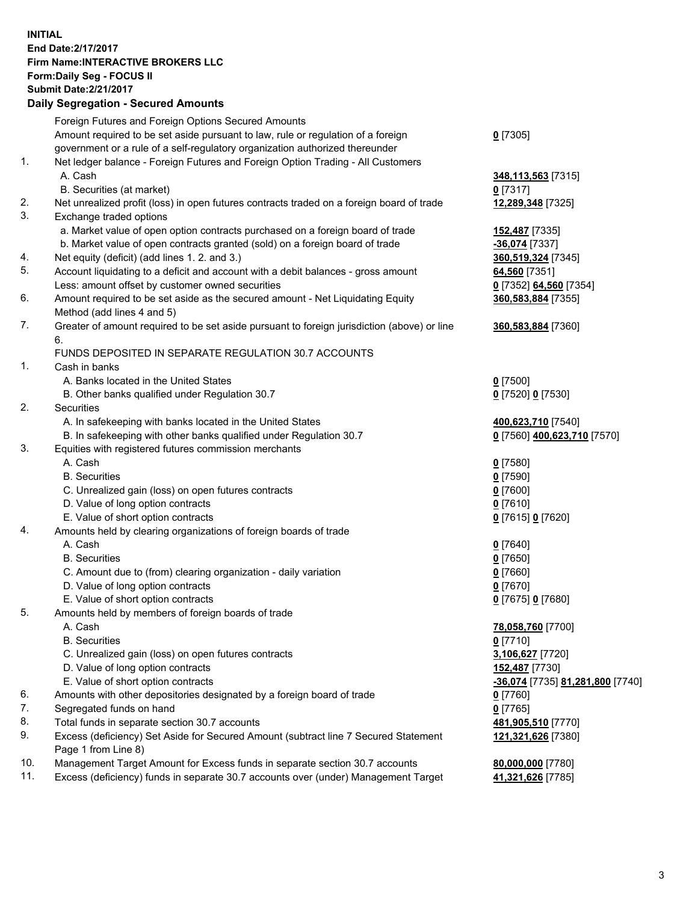## **INITIAL End Date:2/17/2017 Firm Name:INTERACTIVE BROKERS LLC Form:Daily Seg - FOCUS II Submit Date:2/21/2017 Daily Segregation - Secured Amounts**

|                | Daily Jegregation - Jeculed Aniounts                                                                       |                                  |
|----------------|------------------------------------------------------------------------------------------------------------|----------------------------------|
|                | Foreign Futures and Foreign Options Secured Amounts                                                        |                                  |
|                | Amount required to be set aside pursuant to law, rule or regulation of a foreign                           | $0$ [7305]                       |
|                | government or a rule of a self-regulatory organization authorized thereunder                               |                                  |
| 1.             | Net ledger balance - Foreign Futures and Foreign Option Trading - All Customers                            |                                  |
|                | A. Cash                                                                                                    | 348,113,563 [7315]               |
|                | B. Securities (at market)                                                                                  | $0$ [7317]                       |
| 2.             | Net unrealized profit (loss) in open futures contracts traded on a foreign board of trade                  | 12,289,348 [7325]                |
| 3.             | Exchange traded options                                                                                    |                                  |
|                | a. Market value of open option contracts purchased on a foreign board of trade                             | 152,487 [7335]                   |
|                | b. Market value of open contracts granted (sold) on a foreign board of trade                               | $-36,074$ [7337]                 |
| 4.             | Net equity (deficit) (add lines 1.2. and 3.)                                                               | 360,519,324 [7345]               |
| 5.             | Account liquidating to a deficit and account with a debit balances - gross amount                          | 64,560 [7351]                    |
|                | Less: amount offset by customer owned securities                                                           | 0 [7352] 64,560 [7354]           |
| 6.             | Amount required to be set aside as the secured amount - Net Liquidating Equity                             | 360,583,884 [7355]               |
|                | Method (add lines 4 and 5)                                                                                 |                                  |
| 7.             | Greater of amount required to be set aside pursuant to foreign jurisdiction (above) or line                | 360,583,884 [7360]               |
|                | 6.                                                                                                         |                                  |
|                | FUNDS DEPOSITED IN SEPARATE REGULATION 30.7 ACCOUNTS                                                       |                                  |
| $\mathbf{1}$ . | Cash in banks                                                                                              |                                  |
|                | A. Banks located in the United States                                                                      | $0$ [7500]                       |
|                | B. Other banks qualified under Regulation 30.7                                                             | 0 [7520] 0 [7530]                |
| 2.             | Securities                                                                                                 |                                  |
|                | A. In safekeeping with banks located in the United States                                                  | 400,623,710 [7540]               |
|                | B. In safekeeping with other banks qualified under Regulation 30.7                                         | 0 [7560] 400,623,710 [7570]      |
| 3.             | Equities with registered futures commission merchants                                                      |                                  |
|                | A. Cash                                                                                                    | $0$ [7580]                       |
|                | <b>B.</b> Securities                                                                                       | $0$ [7590]                       |
|                | C. Unrealized gain (loss) on open futures contracts                                                        | $0$ [7600]                       |
|                | D. Value of long option contracts                                                                          | $0$ [7610]                       |
|                | E. Value of short option contracts                                                                         | 0 [7615] 0 [7620]                |
| 4.             | Amounts held by clearing organizations of foreign boards of trade                                          |                                  |
|                | A. Cash                                                                                                    | $0$ [7640]                       |
|                | <b>B.</b> Securities                                                                                       | $0$ [7650]                       |
|                | C. Amount due to (from) clearing organization - daily variation                                            | $0$ [7660]                       |
|                | D. Value of long option contracts                                                                          | $0$ [7670]                       |
|                | E. Value of short option contracts                                                                         | 0 [7675] 0 [7680]                |
| 5.             | Amounts held by members of foreign boards of trade                                                         |                                  |
|                | A. Cash                                                                                                    | 78,058,760 [7700]                |
|                | <b>B.</b> Securities                                                                                       | $0$ [7710]                       |
|                | C. Unrealized gain (loss) on open futures contracts                                                        | 3,106,627 [7720]                 |
|                | D. Value of long option contracts                                                                          | 152,487 [7730]                   |
|                | E. Value of short option contracts                                                                         | -36,074 [7735] 81,281,800 [7740] |
| 6.             | Amounts with other depositories designated by a foreign board of trade                                     | 0 [7760]                         |
| 7.             | Segregated funds on hand                                                                                   | $0$ [7765]                       |
| 8.             | Total funds in separate section 30.7 accounts                                                              | 481,905,510 [7770]               |
| 9.             | Excess (deficiency) Set Aside for Secured Amount (subtract line 7 Secured Statement<br>Page 1 from Line 8) | 121,321,626 [7380]               |
| 10.            | Management Target Amount for Excess funds in separate section 30.7 accounts                                | 80,000,000 [7780]                |
| 11.            | Excess (deficiency) funds in separate 30.7 accounts over (under) Management Target                         | 41,321,626 [7785]                |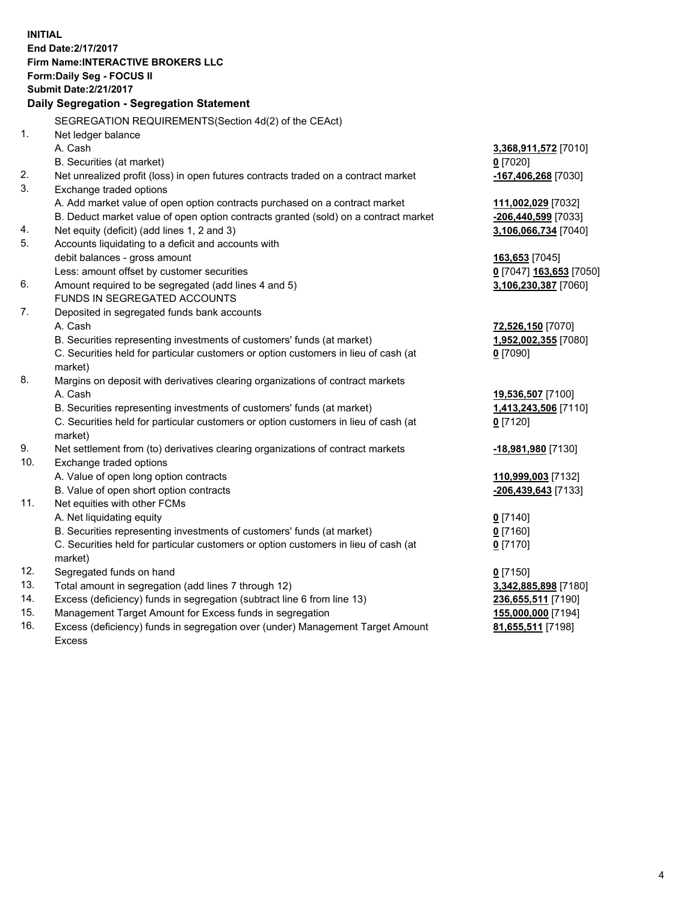**INITIAL End Date:2/17/2017 Firm Name:INTERACTIVE BROKERS LLC Form:Daily Seg - FOCUS II Submit Date:2/21/2017 Daily Segregation - Segregation Statement** SEGREGATION REQUIREMENTS(Section 4d(2) of the CEAct) 1. Net ledger balance A. Cash **3,368,911,572** [7010] B. Securities (at market) **0** [7020] 2. Net unrealized profit (loss) in open futures contracts traded on a contract market **-167,406,268** [7030] 3. Exchange traded options A. Add market value of open option contracts purchased on a contract market **111,002,029** [7032] B. Deduct market value of open option contracts granted (sold) on a contract market **-206,440,599** [7033] 4. Net equity (deficit) (add lines 1, 2 and 3) **3,106,066,734** [7040] 5. Accounts liquidating to a deficit and accounts with debit balances - gross amount **163,653** [7045] Less: amount offset by customer securities **0** [7047] **163,653** [7050] 6. Amount required to be segregated (add lines 4 and 5) **3,106,230,387** [7060] FUNDS IN SEGREGATED ACCOUNTS 7. Deposited in segregated funds bank accounts A. Cash **72,526,150** [7070] B. Securities representing investments of customers' funds (at market) **1,952,002,355** [7080] C. Securities held for particular customers or option customers in lieu of cash (at market) **0** [7090] 8. Margins on deposit with derivatives clearing organizations of contract markets A. Cash **19,536,507** [7100] B. Securities representing investments of customers' funds (at market) **1,413,243,506** [7110] C. Securities held for particular customers or option customers in lieu of cash (at market) **0** [7120] 9. Net settlement from (to) derivatives clearing organizations of contract markets **-18,981,980** [7130] 10. Exchange traded options A. Value of open long option contracts **110,999,003** [7132] B. Value of open short option contracts **-206,439,643** [7133] 11. Net equities with other FCMs A. Net liquidating equity **0** [7140] B. Securities representing investments of customers' funds (at market) **0** [7160] C. Securities held for particular customers or option customers in lieu of cash (at market) **0** [7170] 12. Segregated funds on hand **0** [7150] 13. Total amount in segregation (add lines 7 through 12) **3,342,885,898** [7180] 14. Excess (deficiency) funds in segregation (subtract line 6 from line 13) **236,655,511** [7190] 15. Management Target Amount for Excess funds in segregation **155,000,000** [7194] **81,655,511** [7198]

16. Excess (deficiency) funds in segregation over (under) Management Target Amount Excess